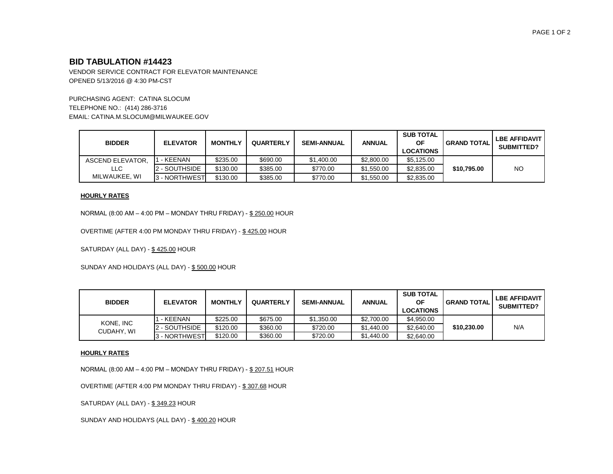# **BID TABULATION #14423**

VENDOR SERVICE CONTRACT FOR ELEVATOR MAINTENANCE OPENED 5/13/2016 @ 4:30 PM-CST

PURCHASING AGENT: CATINA SLOCUM TELEPHONE NO.: (414) 286-3716 EMAIL: CATINA.M.SLOCUM@MILWAUKEE.GOV

| <b>BIDDER</b>    | <b>ELEVATOR</b> | <b>MONTHLY</b> | <b>QUARTERLY</b> | <b>SEMI-ANNUAL</b> | <b>ANNUAL</b> | <b>SUB TOTAL</b><br>ΟF<br><b>LOCATIONS</b> | <b>GRAND TOTAL</b> | <b>LBE AFFIDAVIT</b><br><b>SUBMITTED?</b> |
|------------------|-----------------|----------------|------------------|--------------------|---------------|--------------------------------------------|--------------------|-------------------------------------------|
| ASCEND ELEVATOR. | 1 - KEENAN      | \$235.00       | \$690.00         | \$1,400.00         | \$2,800.00    | \$5,125.00                                 |                    |                                           |
| LLC              | 2 - SOUTHSIDE   | \$130.00       | \$385.00         | \$770.00           | \$1,550.00    | \$2,835.00                                 | \$10.795.00        | <b>NO</b>                                 |
| MILWAUKEE, WI    | 3 - NORTHWEST   | \$130.00       | \$385.00         | \$770.00           | \$1,550.00    | \$2,835,00                                 |                    |                                           |

#### **HOURLY RATES**

NORMAL (8:00 AM – 4:00 PM – MONDAY THRU FRIDAY) - \$ 250.00 HOUR

OVERTIME (AFTER 4:00 PM MONDAY THRU FRIDAY) - \$ 425.00 HOUR

SATURDAY (ALL DAY) - \$425.00 HOUR

SUNDAY AND HOLIDAYS (ALL DAY) - \$ 500.00 HOUR

| <b>BIDDER</b>           | <b>ELEVATOR</b>      | <b>MONTHLY</b> | <b>QUARTERLY</b> | <b>SEMI-ANNUAL</b> | ANNUAL     | <b>SUB TOTAL</b><br>ΟF<br><b>LOCATIONS</b> | <b>GRAND TOTAL</b> | I LBE AFFIDAVIT<br><b>SUBMITTED?</b> |
|-------------------------|----------------------|----------------|------------------|--------------------|------------|--------------------------------------------|--------------------|--------------------------------------|
| KONE, INC<br>CUDAHY, WI | - KEENAN             | \$225.00       | \$675.00         | \$1,350.00         | \$2,700.00 | \$4,950.00                                 | \$10,230,00        |                                      |
|                         | 2 - SOUTHSIDE        | \$120.00       | \$360.00         | \$720.00           | \$1,440.00 | \$2,640.00                                 |                    | N/A                                  |
|                         | <b>A</b> - NORTHWEST | \$120.00       | \$360.00         | \$720.00           | \$1,440.00 | \$2,640.00                                 |                    |                                      |

#### **HOURLY RATES**

NORMAL (8:00 AM – 4:00 PM – MONDAY THRU FRIDAY) - \$ 207.51 HOUR

OVERTIME (AFTER 4:00 PM MONDAY THRU FRIDAY) - \$ 307.68 HOUR

SATURDAY (ALL DAY) - \$349.23 HOUR

SUNDAY AND HOLIDAYS (ALL DAY) - \$ 400.20 HOUR